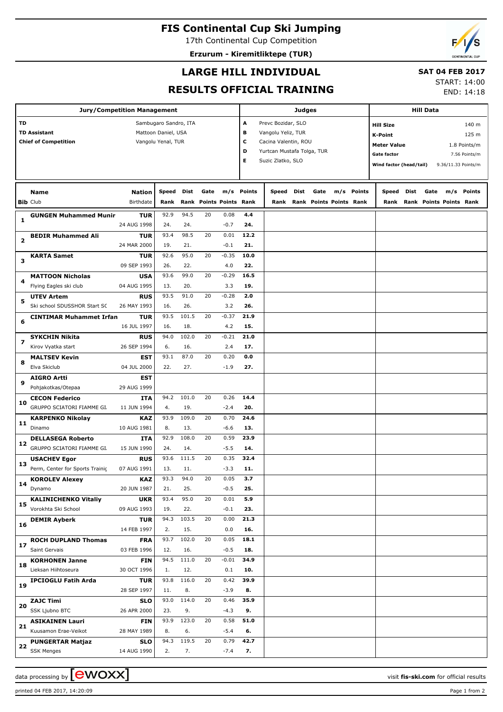# **FIS Continental Cup Ski Jumping**

17th Continental Cup Competition **Erzurum - Kiremitliktepe (TUR)**

## **LARGE HILL INDIVIDUAL**

## **SAT 04 FEB 2017**

#### **RESULTS OFFICIAL TRAINING**

START: 14:00 END: 14:18

|                         |                                   | <b>Jury/Competition Management</b> |                       |              |      |                         |             |                            | <b>Judges</b> |                                     |            | <b>Hill Data</b>                   |      |                              |                     |               |  |
|-------------------------|-----------------------------------|------------------------------------|-----------------------|--------------|------|-------------------------|-------------|----------------------------|---------------|-------------------------------------|------------|------------------------------------|------|------------------------------|---------------------|---------------|--|
| <b>TD</b>               |                                   |                                    | Sambugaro Sandro, ITA |              |      |                         | А           | Prevc Bozidar, SLO         |               |                                     |            | 140 m<br><b>Hill Size</b>          |      |                              |                     |               |  |
|                         | <b>TD Assistant</b>               |                                    | Mattoon Daniel, USA   |              |      |                         | в           | Vangolu Yeliz, TUR         |               |                                     |            | <b>K-Point</b>                     |      |                              |                     | 125 m         |  |
|                         | <b>Chief of Competition</b>       |                                    | Vangolu Yenal, TUR    |              |      |                         | c           | Cacina Valentin, ROU       |               |                                     |            | <b>Meter Value</b><br>1.8 Points/m |      |                              |                     |               |  |
|                         |                                   |                                    |                       |              |      |                         | D           | Yurtcan Mustafa Tolga, TUR |               |                                     |            | <b>Gate factor</b>                 |      |                              |                     | 7.56 Points/m |  |
|                         |                                   |                                    |                       |              |      |                         | Е           | Suzic Zlatko, SLO          |               |                                     |            | Wind factor (head/tail)            |      |                              | 9.36/11.33 Points/m |               |  |
|                         |                                   |                                    |                       |              |      |                         |             |                            |               |                                     |            |                                    |      |                              |                     |               |  |
|                         |                                   |                                    |                       |              |      |                         |             |                            |               |                                     |            |                                    |      |                              |                     |               |  |
|                         | Name                              | <b>Nation</b>                      | Speed                 | Dist         | Gate |                         | m/s Points  | Speed                      | <b>Dist</b>   | Gate                                | m/s Points | Speed                              | Dist | Gate                         | m/s                 | Points        |  |
|                         | <b>Bib Club</b>                   | Birthdate                          | Rank                  |              |      | Rank Points Points Rank |             |                            |               | <b>Rank Rank Points Points Rank</b> |            |                                    |      | Rank Rank Points Points Rank |                     |               |  |
| 1                       | <b>GUNGEN Muhammed Munir</b>      | <b>TUR</b>                         | 92.9                  | 94.5         | 20   | 0.08                    | 4.4         |                            |               |                                     |            |                                    |      |                              |                     |               |  |
|                         |                                   | 24 AUG 1998                        | 24.                   | 24.          |      | $-0.7$                  | 24.         |                            |               |                                     |            |                                    |      |                              |                     |               |  |
| $\overline{\mathbf{2}}$ | <b>BEDIR Muhammed Ali</b>         | <b>TUR</b>                         | 93.4                  | 98.5         | 20   | 0.01                    | 12.2        |                            |               |                                     |            |                                    |      |                              |                     |               |  |
|                         |                                   | 24 MAR 2000                        | 19.                   | 21.          |      | $-0.1$                  | 21.         |                            |               |                                     |            |                                    |      |                              |                     |               |  |
| 3                       | KARTA Samet                       | <b>TUR</b>                         | 92.6                  | 95.0         | 20   | $-0.35$                 | 10.0        |                            |               |                                     |            |                                    |      |                              |                     |               |  |
|                         |                                   | 09 SEP 1993                        | 26.                   | 22.          |      | 4.0                     | 22.         |                            |               |                                     |            |                                    |      |                              |                     |               |  |
| 4                       | <b>MATTOON Nicholas</b>           | <b>USA</b>                         | 93.6                  | 99.0         | 20   | $-0.29$                 | 16.5        |                            |               |                                     |            |                                    |      |                              |                     |               |  |
|                         | Flying Eagles ski club            | 04 AUG 1995                        | 13.                   | 20.          |      | 3.3                     | 19.         |                            |               |                                     |            |                                    |      |                              |                     |               |  |
| 5                       | <b>UTEV Artem</b>                 | <b>RUS</b>                         | 93.5                  | 91.0         | 20   | $-0.28$                 | 2.0         |                            |               |                                     |            |                                    |      |                              |                     |               |  |
|                         | Ski school SDUSSHOR Start SC      | 26 MAY 1993                        | 16.                   | 26.          |      | 3.2                     | 26.         |                            |               |                                     |            |                                    |      |                              |                     |               |  |
| 6                       | <b>CINTIMAR Muhammet Irfan</b>    | <b>TUR</b>                         | 93.5                  | 101.5        | 20   | $-0.37$                 | 21.9        |                            |               |                                     |            |                                    |      |                              |                     |               |  |
|                         |                                   | 16 JUL 1997                        | 16.                   | 18.          |      | 4.2                     | 15.         |                            |               |                                     |            |                                    |      |                              |                     |               |  |
| $\overline{ }$          | <b>SYKCHIN Nikita</b>             | <b>RUS</b>                         | 94.0                  | 102.0        | 20   | $-0.21$                 | 21.0        |                            |               |                                     |            |                                    |      |                              |                     |               |  |
|                         | Kirov Vyatka start                | 26 SEP 1994                        | 6.                    | 16.          |      | 2.4                     | 17.         |                            |               |                                     |            |                                    |      |                              |                     |               |  |
| 8                       | <b>MALTSEV Kevin</b>              | EST                                | 93.1                  | 87.0         | 20   | 0.20                    | 0.0         |                            |               |                                     |            |                                    |      |                              |                     |               |  |
|                         | Elva Skiclub                      | 04 JUL 2000                        | 22.                   | 27.          |      | $-1.9$                  | 27.         |                            |               |                                     |            |                                    |      |                              |                     |               |  |
| 9                       | <b>AIGRO Artti</b>                | EST                                |                       |              |      |                         |             |                            |               |                                     |            |                                    |      |                              |                     |               |  |
|                         | Pohjakotkas/Otepaa                | 29 AUG 1999                        |                       |              |      |                         |             |                            |               |                                     |            |                                    |      |                              |                     |               |  |
| 10                      | <b>CECON Federico</b>             | ITA                                | 94.2                  | 101.0        | 20   | 0.26                    | 14.4        |                            |               |                                     |            |                                    |      |                              |                     |               |  |
|                         | GRUPPO SCIATORI FIAMME GI.        | 11 JUN 1994                        | 4.<br>93.9            | 19.<br>109.0 | 20   | $-2.4$<br>0.70          | 20.<br>24.6 |                            |               |                                     |            |                                    |      |                              |                     |               |  |
| 11                      | <b>KARPENKO Nikolay</b><br>Dinamo | <b>KAZ</b><br>10 AUG 1981          | 8.                    | 13.          |      | $-6.6$                  | 13.         |                            |               |                                     |            |                                    |      |                              |                     |               |  |
|                         | <b>DELLASEGA Roberto</b>          | ITA                                | 92.9                  | 108.0        | 20   | 0.59                    | 23.9        |                            |               |                                     |            |                                    |      |                              |                     |               |  |
| 12                      | GRUPPO SCIATORI FIAMME GI.        | 15 JUN 1990                        | 24.                   | 14.          |      | $-5.5$                  | 14.         |                            |               |                                     |            |                                    |      |                              |                     |               |  |
|                         | <b>USACHEV Egor</b>               | <b>RUS</b>                         | 93.6                  | 111.5        | 20   | 0.35                    | 32.4        |                            |               |                                     |            |                                    |      |                              |                     |               |  |
| 13                      | Perm, Center for Sports Trainic   | 07 AUG 1991                        | 13.                   | 11.          |      | $-3.3$                  | 11.         |                            |               |                                     |            |                                    |      |                              |                     |               |  |
|                         | <b>KOROLEV Alexey</b>             | <b>KAZ</b>                         | 93.3                  | 94.0         | 20   | 0.05                    | 3.7         |                            |               |                                     |            |                                    |      |                              |                     |               |  |
| 14                      | Dynamo                            | 20 JUN 1987                        | 21.                   | 25.          |      | $-0.5$                  | 25.         |                            |               |                                     |            |                                    |      |                              |                     |               |  |
|                         | <b>KALINICHENKO Vitaliy</b>       | <b>UKR</b>                         | 93.4                  | 95.0         | 20   | 0.01                    | 5.9         |                            |               |                                     |            |                                    |      |                              |                     |               |  |
| 15                      | Vorokhta Ski School               | 09 AUG 1993                        | 19.                   | 22.          |      | $-0.1$                  | 23.         |                            |               |                                     |            |                                    |      |                              |                     |               |  |
|                         | <b>DEMIR Ayberk</b>               | <b>TUR</b>                         | 94.3                  | 103.5        | 20   | 0.00                    | 21.3        |                            |               |                                     |            |                                    |      |                              |                     |               |  |
| 16                      |                                   | 14 FEB 1997                        | 2.                    | 15.          |      | 0.0                     | 16.         |                            |               |                                     |            |                                    |      |                              |                     |               |  |
|                         | <b>ROCH DUPLAND Thomas</b>        | <b>FRA</b>                         | 93.7                  | 102.0        | 20   | 0.05                    | 18.1        |                            |               |                                     |            |                                    |      |                              |                     |               |  |
| 17                      | Saint Gervais                     | 03 FEB 1996                        | 12.                   | 16.          |      | $-0.5$                  | 18.         |                            |               |                                     |            |                                    |      |                              |                     |               |  |
|                         | <b>KORHONEN Janne</b>             | FIN                                | 94.5                  | 111.0        | 20   | $-0.01$                 | 34.9        |                            |               |                                     |            |                                    |      |                              |                     |               |  |
| 18                      | Lieksan Hiihtoseura               | 30 OCT 1996                        | 1.                    | 12.          |      | 0.1                     | 10.         |                            |               |                                     |            |                                    |      |                              |                     |               |  |
| 19                      | <b>IPCIOGLU Fatih Arda</b>        | <b>TUR</b>                         | 93.8                  | 116.0        | 20   | 0.42                    | 39.9        |                            |               |                                     |            |                                    |      |                              |                     |               |  |
|                         |                                   | 28 SEP 1997                        | 11.                   | 8.           |      | $-3.9$                  | 8.          |                            |               |                                     |            |                                    |      |                              |                     |               |  |
| 20                      | <b>ZAJC Timi</b>                  | <b>SLO</b>                         | 93.0                  | 114.0        | 20   | 0.46                    | 35.9        |                            |               |                                     |            |                                    |      |                              |                     |               |  |
|                         | SSK Ljubno BTC                    | 26 APR 2000                        | 23.                   | 9.           |      | $-4.3$                  | 9.          |                            |               |                                     |            |                                    |      |                              |                     |               |  |
| 21                      | <b>ASIKAINEN Lauri</b>            | <b>FIN</b>                         | 93.9                  | 123.0        | 20   | 0.58                    | 51.0        |                            |               |                                     |            |                                    |      |                              |                     |               |  |
|                         | Kuusamon Erae-Veikot              | 28 MAY 1989                        | 8.                    | 6.           |      | $-5.4$                  | 6.          |                            |               |                                     |            |                                    |      |                              |                     |               |  |
| 22                      | <b>PUNGERTAR Matjaz</b>           | <b>SLO</b>                         | 94.3                  | 119.5        | 20   | 0.79                    | 42.7        |                            |               |                                     |            |                                    |      |                              |                     |               |  |
|                         | <b>SSK Menges</b>                 | 14 AUG 1990                        | 2.                    | 7.           |      | $-7.4$                  | 7.          |                            |               |                                     |            |                                    |      |                              |                     |               |  |

printed 04 FEB 2017, 14:20:09 Page 1 from 2

data processing by **CWOXX** and  $\overline{C}$  and  $\overline{C}$  and  $\overline{C}$  and  $\overline{C}$  and  $\overline{C}$  and  $\overline{C}$  and  $\overline{C}$  and  $\overline{C}$  and  $\overline{C}$  and  $\overline{C}$  and  $\overline{C}$  and  $\overline{C}$  and  $\overline{C}$  and  $\overline{C}$  and  $\overline{C}$